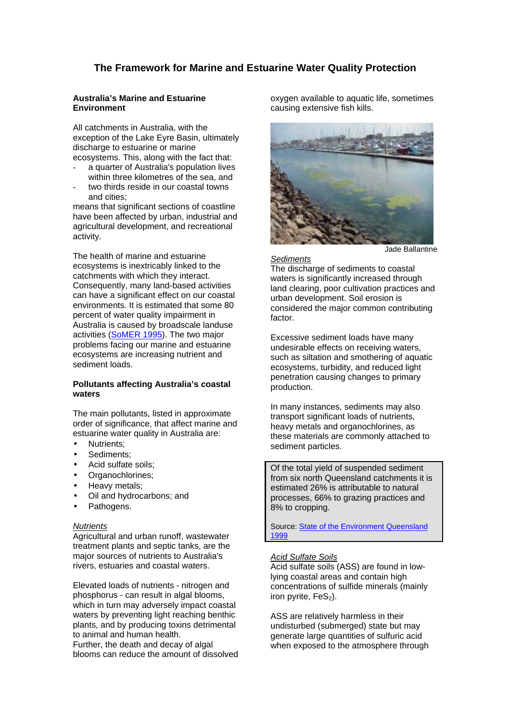# **The Framework for Marine and Estuarine Water Quality Protection**

# **Australia's Marine and Estuarine Environment**

All catchments in Australia, with the exception of the Lake Eyre Basin, ultimately discharge to estuarine or marine ecosystems. This, along with the fact that:

a quarter of Australia's population lives

- within three kilometres of the sea, and
- two thirds reside in our coastal towns and cities;

means that significant sections of coastline have been affected by urban, industrial and agricultural development, and recreational activity.

The health of marine and estuarine ecosystems is inextricably linked to the catchments with which they interact. Consequently, many land-based activities can have a significant effect on our coastal environments. It is estimated that some 80 percent of water quality impairment in Australia is caused by broadscale landuse activities (SoMER 1995). The two major problems facing our marine and estuarine ecosystems are increasing nutrient and sediment loads.

### **Pollutants affecting Australia's coastal waters**

The main pollutants, listed in approximate order of significance, that affect marine and estuarine water quality in Australia are:

- Nutrients:
- Sediments:
- Acid sulfate soils;
- Organochlorines;
- Heavy metals;
- Oil and hydrocarbons; and
- Pathogens.

#### *Nutrients*

Agricultural and urban runoff, wastewater treatment plants and septic tanks, are the major sources of nutrients to Australia's rivers, estuaries and coastal waters.

Elevated loads of nutrients - nitrogen and phosphorus - can result in algal blooms, which in turn may adversely impact coastal waters by preventing light reaching benthic plants, and by producing toxins detrimental to animal and human health.

Further, the death and decay of algal blooms can reduce the amount of dissolved oxygen available to aquatic life, sometimes causing extensive fish kills.



Jade Ballantine

*Sediments* The discharge of sediments to coastal waters is significantly increased through land clearing, poor cultivation practices and urban development. Soil erosion is considered the major common contributing factor.

Excessive sediment loads have many undesirable effects on receiving waters, such as siltation and smothering of aquatic ecosystems, turbidity, and reduced light penetration causing changes to primary production.

In many instances, sediments may also transport significant loads of nutrients, heavy metals and organochlorines, as these materials are commonly attached to sediment particles.

Of the total yield of suspended sediment from six north Queensland catchments it is estimated 26% is attributable to natural processes, 66% to grazing practices and 8% to cropping.

Source: State of the Environment Queensland 1999

#### *Acid Sulfate Soils*

Acid sulfate soils (ASS) are found in lowlying coastal areas and contain high concentrations of sulfide minerals (mainly iron pyrite,  $FeS<sub>2</sub>$ ).

ASS are relatively harmless in their undisturbed (submerged) state but may generate large quantities of sulfuric acid when exposed to the atmosphere through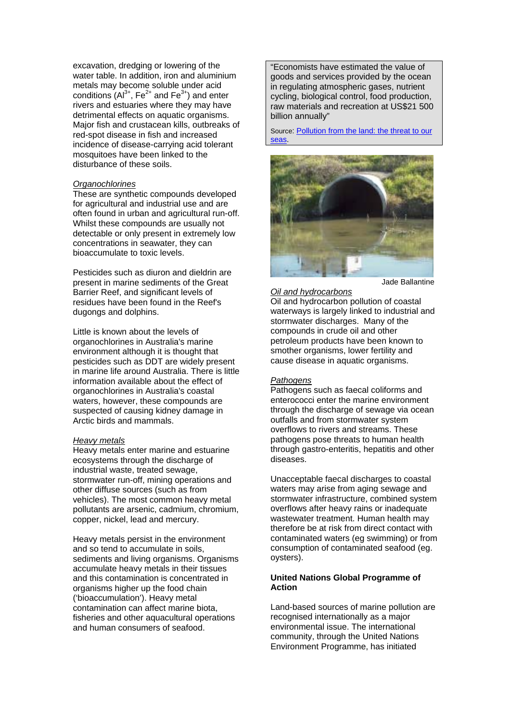excavation, dredging or lowering of the water table. In addition, iron and aluminium metals may become soluble under acid conditions  $(A^{3+}, Fe^{2+}$  and  $Fe^{3+}$ ) and enter rivers and estuaries where they may have detrimental effects on aquatic organisms. Major fish and crustacean kills, outbreaks of red-spot disease in fish and increased incidence of disease-carrying acid tolerant mosquitoes have been linked to the disturbance of these soils.

#### *Organochlorines*

These are synthetic compounds developed for agricultural and industrial use and are often found in urban and agricultural run-off. Whilst these compounds are usually not detectable or only present in extremely low concentrations in seawater, they can bioaccumulate to toxic levels.

Pesticides such as diuron and dieldrin are present in marine sediments of the Great Barrier Reef, and significant levels of residues have been found in the Reef's dugongs and dolphins.

Little is known about the levels of organochlorines in Australia's marine environment although it is thought that pesticides such as DDT are widely present in marine life around Australia. There is little information available about the effect of organochlorines in Australia's coastal waters, however, these compounds are suspected of causing kidney damage in Arctic birds and mammals.

#### *Heavy metals*

Heavy metals enter marine and estuarine ecosystems through the discharge of industrial waste, treated sewage, stormwater run-off, mining operations and other diffuse sources (such as from vehicles). The most common heavy metal pollutants are arsenic, cadmium, chromium, copper, nickel, lead and mercury.

Heavy metals persist in the environment and so tend to accumulate in soils, sediments and living organisms. Organisms accumulate heavy metals in their tissues and this contamination is concentrated in organisms higher up the food chain ('bioaccumulation'). Heavy metal contamination can affect marine biota, fisheries and other aquacultural operations and human consumers of seafood.

"Economists have estimated the value of goods and services provided by the ocean in regulating atmospheric gases, nutrient cycling, biological control, food production, raw materials and recreation at US\$21 500 billion annually"

Source: Pollution from the land: the threat to our seas.



Jade Ballantine

*Oil and hydrocarbons* Oil and hydrocarbon pollution of coastal waterways is largely linked to industrial and stormwater discharges. Many of the compounds in crude oil and other petroleum products have been known to smother organisms, lower fertility and cause disease in aquatic organisms.

#### *Pathogens*

Pathogens such as faecal coliforms and enterococci enter the marine environment through the discharge of sewage via ocean outfalls and from stormwater system overflows to rivers and streams. These pathogens pose threats to human health through gastro-enteritis, hepatitis and other diseases.

Unacceptable faecal discharges to coastal waters may arise from aging sewage and stormwater infrastructure, combined system overflows after heavy rains or inadequate wastewater treatment. Human health may therefore be at risk from direct contact with contaminated waters (eg swimming) or from consumption of contaminated seafood (eg. oysters).

## **United Nations Global Programme of Action**

Land-based sources of marine pollution are recognised internationally as a major environmental issue. The international community, through the United Nations Environment Programme, has initiated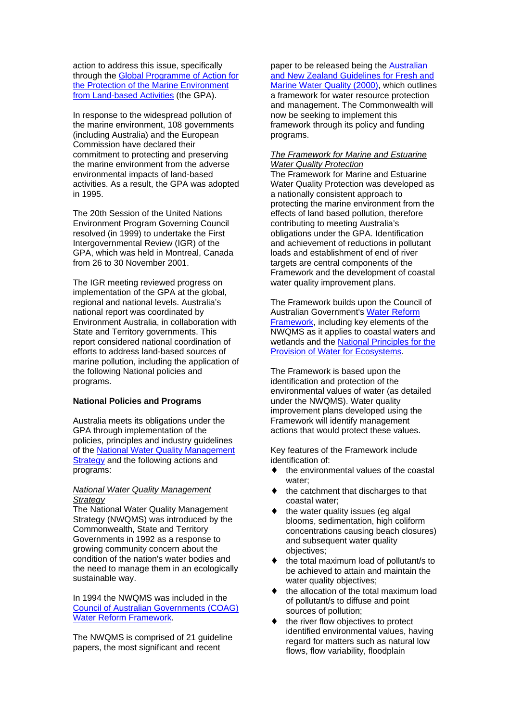action to address this issue, specifically through the Global Programme of Action for the Protection of the Marine Environment from Land-based Activities (the GPA).

In response to the widespread pollution of the marine environment, 108 governments (including Australia) and the European Commission have declared their commitment to protecting and preserving the marine environment from the adverse environmental impacts of land-based activities. As a result, the GPA was adopted in 1995.

The 20th Session of the United Nations Environment Program Governing Council resolved (in 1999) to undertake the First Intergovernmental Review (IGR) of the GPA, which was held in Montreal, Canada from 26 to 30 November 2001.

The IGR meeting reviewed progress on implementation of the GPA at the global, regional and national levels. Australia's national report was coordinated by Environment Australia, in collaboration with State and Territory governments. This report considered national coordination of efforts to address land-based sources of marine pollution, including the application of the following National policies and programs.

# **National Policies and Programs**

Australia meets its obligations under the GPA through implementation of the policies, principles and industry guidelines of the National Water Quality Management Strategy and the following actions and programs:

### *National Water Quality Management Strategy*

The National Water Quality Management Strategy (NWQMS) was introduced by the Commonwealth, State and Territory Governments in 1992 as a response to growing community concern about the condition of the nation's water bodies and the need to manage them in an ecologically sustainable way.

In 1994 the NWQMS was included in the Council of Australian Governments (COAG) Water Reform Framework.

The NWQMS is comprised of 21 guideline papers, the most significant and recent

paper to be released being the Australian and New Zealand Guidelines for Fresh and Marine Water Quality (2000), which outlines a framework for water resource protection and management. The Commonwealth will now be seeking to implement this framework through its policy and funding programs.

# *The Framework for Marine and Estuarine Water Quality Protection*

The Framework for Marine and Estuarine Water Quality Protection was developed as a nationally consistent approach to protecting the marine environment from the effects of land based pollution, therefore contributing to meeting Australia's obligations under the GPA. Identification and achievement of reductions in pollutant loads and establishment of end of river targets are central components of the Framework and the development of coastal water quality improvement plans.

The Framework builds upon the Council of Australian Government's Water Reform Framework, including key elements of the NWQMS as it applies to coastal waters and wetlands and the National Principles for the Provision of Water for Ecosystems.

The Framework is based upon the identification and protection of the environmental values of water (as detailed under the NWQMS). Water quality improvement plans developed using the Framework will identify management actions that would protect these values.

Key features of the Framework include identification of:

- the environmental values of the coastal water;
- the catchment that discharges to that coastal water;
- the water quality issues (eg algal blooms, sedimentation, high coliform concentrations causing beach closures) and subsequent water quality objectives;
- the total maximum load of pollutant/s to be achieved to attain and maintain the water quality objectives;
- the allocation of the total maximum load of pollutant/s to diffuse and point sources of pollution;
- the river flow objectives to protect identified environmental values, having regard for matters such as natural low flows, flow variability, floodplain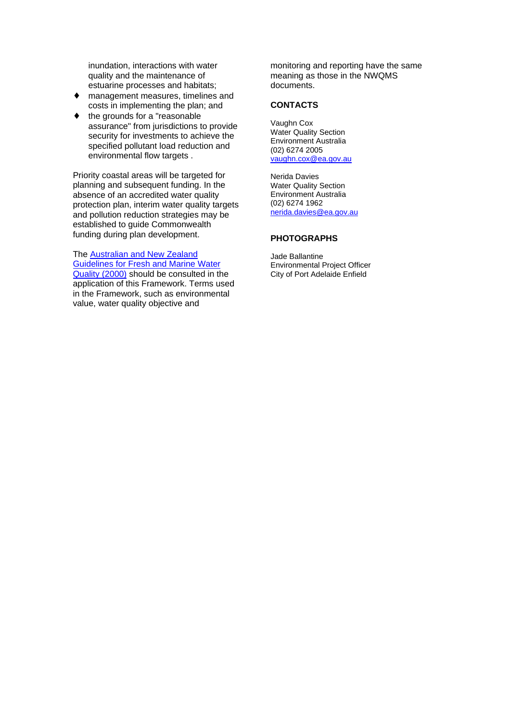inundation, interactions with water quality and the maintenance of estuarine processes and habitats;

- ♦ management measures, timelines and costs in implementing the plan; and
- ♦ the grounds for a "reasonable assurance" from jurisdictions to provide security for investments to achieve the specified pollutant load reduction and environmental flow targets .

Priority coastal areas will be targeted for planning and subsequent funding. In the absence of an accredited water quality protection plan, interim water quality targets and pollution reduction strategies may be established to guide Commonwealth funding during plan development.

The Australian and New Zealand Guidelines for Fresh and Marine Water Quality (2000) should be consulted in the application of this Framework. Terms used in the Framework, such as environmental value, water quality objective and

monitoring and reporting have the same meaning as those in the NWQMS documents.

# **CONTACTS**

Vaughn Cox Water Quality Section Environment Australia (02) 6274 2005 vaughn.cox@ea.gov.au

Nerida Davies Water Quality Section Environment Australia (02) 6274 1962 nerida.davies@ea.gov.au

# **PHOTOGRAPHS**

Jade Ballantine Environmental Project Officer City of Port Adelaide Enfield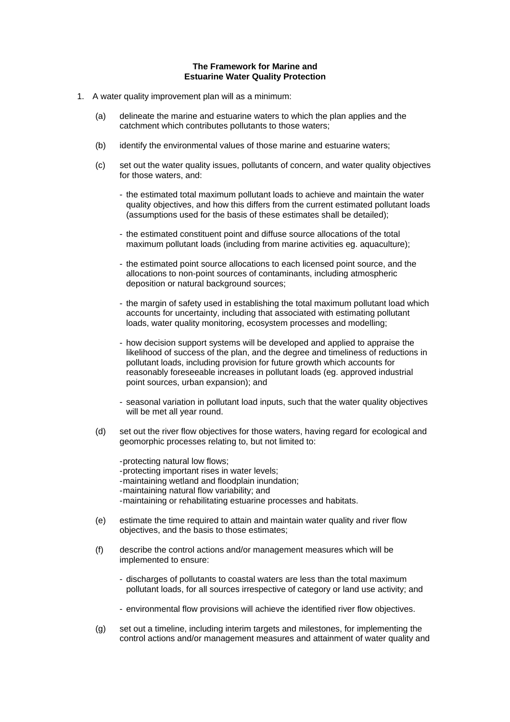# **The Framework for Marine and Estuarine Water Quality Protection**

- 1. A water quality improvement plan will as a minimum:
	- (a) delineate the marine and estuarine waters to which the plan applies and the catchment which contributes pollutants to those waters;
	- (b) identify the environmental values of those marine and estuarine waters;
	- (c) set out the water quality issues, pollutants of concern, and water quality objectives for those waters, and:
		- the estimated total maximum pollutant loads to achieve and maintain the water quality objectives, and how this differs from the current estimated pollutant loads (assumptions used for the basis of these estimates shall be detailed);
		- the estimated constituent point and diffuse source allocations of the total maximum pollutant loads (including from marine activities eg. aquaculture);
		- the estimated point source allocations to each licensed point source, and the allocations to non-point sources of contaminants, including atmospheric deposition or natural background sources;
		- the margin of safety used in establishing the total maximum pollutant load which accounts for uncertainty, including that associated with estimating pollutant loads, water quality monitoring, ecosystem processes and modelling;
		- how decision support systems will be developed and applied to appraise the likelihood of success of the plan, and the degree and timeliness of reductions in pollutant loads, including provision for future growth which accounts for reasonably foreseeable increases in pollutant loads (eg. approved industrial point sources, urban expansion); and
		- seasonal variation in pollutant load inputs, such that the water quality objectives will be met all year round.
	- (d) set out the river flow objectives for those waters, having regard for ecological and geomorphic processes relating to, but not limited to:

- protecting natural low flows; - protecting important rises in water levels; - maintaining wetland and floodplain inundation; - maintaining natural flow variability; and - maintaining or rehabilitating estuarine processes and habitats.

- (e) estimate the time required to attain and maintain water quality and river flow objectives, and the basis to those estimates;
- (f) describe the control actions and/or management measures which will be implemented to ensure:
	- discharges of pollutants to coastal waters are less than the total maximum pollutant loads, for all sources irrespective of category or land use activity; and
	- environmental flow provisions will achieve the identified river flow objectives.
- (g) set out a timeline, including interim targets and milestones, for implementing the control actions and/or management measures and attainment of water quality and